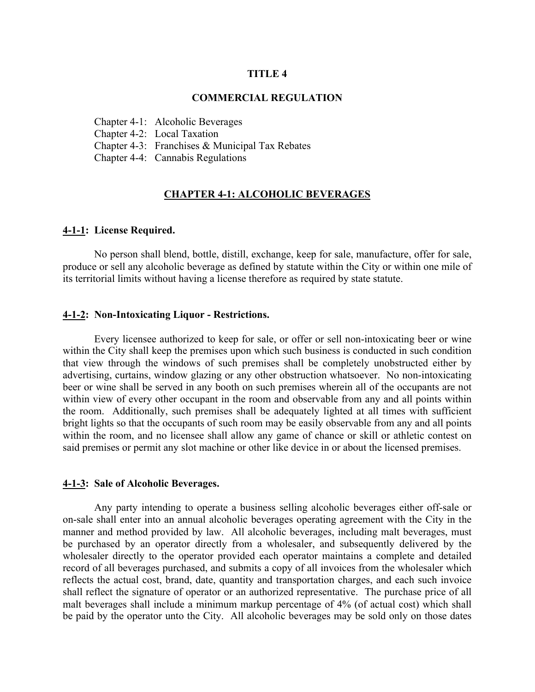#### **TITLE 4**

#### **COMMERCIAL REGULATION**

Chapter 4-1: Alcoholic Beverages

Chapter 4-2: Local Taxation

Chapter 4-3: Franchises & Municipal Tax Rebates

Chapter 4-4: Cannabis Regulations

### **CHAPTER 4-1: ALCOHOLIC BEVERAGES**

#### **4-1-1: License Required.**

No person shall blend, bottle, distill, exchange, keep for sale, manufacture, offer for sale, produce or sell any alcoholic beverage as defined by statute within the City or within one mile of its territorial limits without having a license therefore as required by state statute.

#### **4-1-2: Non-Intoxicating Liquor - Restrictions.**

Every licensee authorized to keep for sale, or offer or sell non-intoxicating beer or wine within the City shall keep the premises upon which such business is conducted in such condition that view through the windows of such premises shall be completely unobstructed either by advertising, curtains, window glazing or any other obstruction whatsoever. No non-intoxicating beer or wine shall be served in any booth on such premises wherein all of the occupants are not within view of every other occupant in the room and observable from any and all points within the room. Additionally, such premises shall be adequately lighted at all times with sufficient bright lights so that the occupants of such room may be easily observable from any and all points within the room, and no licensee shall allow any game of chance or skill or athletic contest on said premises or permit any slot machine or other like device in or about the licensed premises.

#### **4-1-3: Sale of Alcoholic Beverages.**

Any party intending to operate a business selling alcoholic beverages either off-sale or on-sale shall enter into an annual alcoholic beverages operating agreement with the City in the manner and method provided by law. All alcoholic beverages, including malt beverages, must be purchased by an operator directly from a wholesaler, and subsequently delivered by the wholesaler directly to the operator provided each operator maintains a complete and detailed record of all beverages purchased, and submits a copy of all invoices from the wholesaler which reflects the actual cost, brand, date, quantity and transportation charges, and each such invoice shall reflect the signature of operator or an authorized representative. The purchase price of all malt beverages shall include a minimum markup percentage of 4% (of actual cost) which shall be paid by the operator unto the City. All alcoholic beverages may be sold only on those dates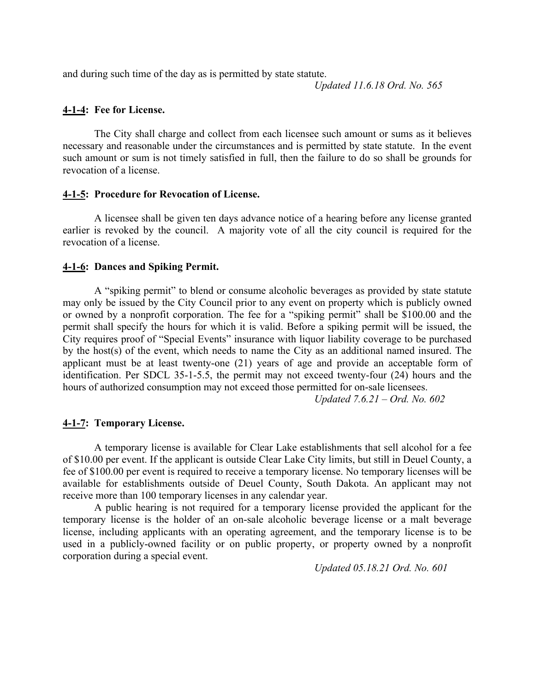and during such time of the day as is permitted by state statute.

*Updated 11.6.18 Ord. No. 565*

### **4-1-4: Fee for License.**

The City shall charge and collect from each licensee such amount or sums as it believes necessary and reasonable under the circumstances and is permitted by state statute. In the event such amount or sum is not timely satisfied in full, then the failure to do so shall be grounds for revocation of a license.

#### **4-1-5: Procedure for Revocation of License.**

A licensee shall be given ten days advance notice of a hearing before any license granted earlier is revoked by the council. A majority vote of all the city council is required for the revocation of a license.

#### **4-1-6: Dances and Spiking Permit.**

A "spiking permit" to blend or consume alcoholic beverages as provided by state statute may only be issued by the City Council prior to any event on property which is publicly owned or owned by a nonprofit corporation. The fee for a "spiking permit" shall be \$100.00 and the permit shall specify the hours for which it is valid. Before a spiking permit will be issued, the City requires proof of "Special Events" insurance with liquor liability coverage to be purchased by the host(s) of the event, which needs to name the City as an additional named insured. The applicant must be at least twenty-one (21) years of age and provide an acceptable form of identification. Per SDCL 35-1-5.5, the permit may not exceed twenty-four (24) hours and the hours of authorized consumption may not exceed those permitted for on-sale licensees.

*Updated 7.6.21 – Ord. No. 602*

### **4-1-7: Temporary License.**

A temporary license is available for Clear Lake establishments that sell alcohol for a fee of \$10.00 per event. If the applicant is outside Clear Lake City limits, but still in Deuel County, a fee of \$100.00 per event is required to receive a temporary license. No temporary licenses will be available for establishments outside of Deuel County, South Dakota. An applicant may not receive more than 100 temporary licenses in any calendar year.

A public hearing is not required for a temporary license provided the applicant for the temporary license is the holder of an on-sale alcoholic beverage license or a malt beverage license, including applicants with an operating agreement, and the temporary license is to be used in a publicly-owned facility or on public property, or property owned by a nonprofit corporation during a special event.

*Updated 05.18.21 Ord. No. 601*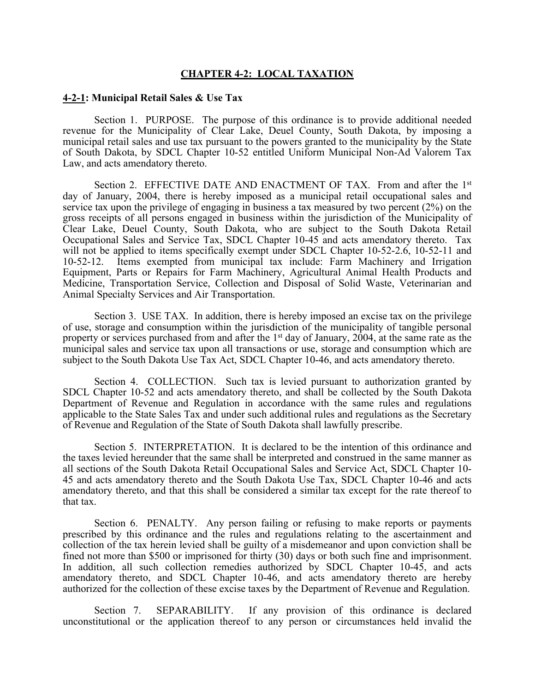#### **CHAPTER 4-2: LOCAL TAXATION**

#### **4-2-1: Municipal Retail Sales & Use Tax**

Section 1. PURPOSE. The purpose of this ordinance is to provide additional needed revenue for the Municipality of Clear Lake, Deuel County, South Dakota, by imposing a municipal retail sales and use tax pursuant to the powers granted to the municipality by the State of South Dakota, by SDCL Chapter 10-52 entitled Uniform Municipal Non-Ad Valorem Tax Law, and acts amendatory thereto.

Section 2. EFFECTIVE DATE AND ENACTMENT OF TAX. From and after the 1<sup>st</sup> day of January, 2004, there is hereby imposed as a municipal retail occupational sales and service tax upon the privilege of engaging in business a tax measured by two percent (2%) on the gross receipts of all persons engaged in business within the jurisdiction of the Municipality of Clear Lake, Deuel County, South Dakota, who are subject to the South Dakota Retail Occupational Sales and Service Tax, SDCL Chapter 10-45 and acts amendatory thereto. Tax will not be applied to items specifically exempt under SDCL Chapter 10-52-2.6, 10-52-11 and 10-52-12. Items exempted from municipal tax include: Farm Machinery and Irrigation Equipment, Parts or Repairs for Farm Machinery, Agricultural Animal Health Products and Medicine, Transportation Service, Collection and Disposal of Solid Waste, Veterinarian and Animal Specialty Services and Air Transportation.

Section 3. USE TAX. In addition, there is hereby imposed an excise tax on the privilege of use, storage and consumption within the jurisdiction of the municipality of tangible personal property or services purchased from and after the 1<sup>st</sup> day of January, 2004, at the same rate as the municipal sales and service tax upon all transactions or use, storage and consumption which are subject to the South Dakota Use Tax Act, SDCL Chapter 10-46, and acts amendatory thereto.

Section 4. COLLECTION. Such tax is levied pursuant to authorization granted by SDCL Chapter 10-52 and acts amendatory thereto, and shall be collected by the South Dakota Department of Revenue and Regulation in accordance with the same rules and regulations applicable to the State Sales Tax and under such additional rules and regulations as the Secretary of Revenue and Regulation of the State of South Dakota shall lawfully prescribe.

Section 5. INTERPRETATION. It is declared to be the intention of this ordinance and the taxes levied hereunder that the same shall be interpreted and construed in the same manner as all sections of the South Dakota Retail Occupational Sales and Service Act, SDCL Chapter 10- 45 and acts amendatory thereto and the South Dakota Use Tax, SDCL Chapter 10-46 and acts amendatory thereto, and that this shall be considered a similar tax except for the rate thereof to that tax.

Section 6. PENALTY. Any person failing or refusing to make reports or payments prescribed by this ordinance and the rules and regulations relating to the ascertainment and collection of the tax herein levied shall be guilty of a misdemeanor and upon conviction shall be fined not more than \$500 or imprisoned for thirty (30) days or both such fine and imprisonment. In addition, all such collection remedies authorized by SDCL Chapter 10-45, and acts amendatory thereto, and SDCL Chapter 10-46, and acts amendatory thereto are hereby authorized for the collection of these excise taxes by the Department of Revenue and Regulation.

Section 7. SEPARABILITY. If any provision of this ordinance is declared unconstitutional or the application thereof to any person or circumstances held invalid the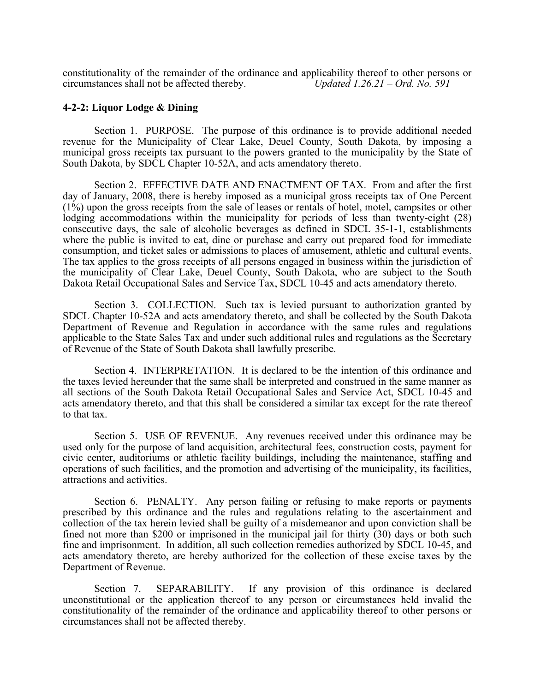constitutionality of the remainder of the ordinance and applicability thereof to other persons or circumstances shall not be affected thereby. *Updated 1.26.21 – Ord. No. 591*

#### **4-2-2: Liquor Lodge & Dining**

Section 1. PURPOSE. The purpose of this ordinance is to provide additional needed revenue for the Municipality of Clear Lake, Deuel County, South Dakota, by imposing a municipal gross receipts tax pursuant to the powers granted to the municipality by the State of South Dakota, by SDCL Chapter 10-52A, and acts amendatory thereto.

Section 2. EFFECTIVE DATE AND ENACTMENT OF TAX. From and after the first day of January, 2008, there is hereby imposed as a municipal gross receipts tax of One Percent (1%) upon the gross receipts from the sale of leases or rentals of hotel, motel, campsites or other lodging accommodations within the municipality for periods of less than twenty-eight (28) consecutive days, the sale of alcoholic beverages as defined in SDCL 35-1-1, establishments where the public is invited to eat, dine or purchase and carry out prepared food for immediate consumption, and ticket sales or admissions to places of amusement, athletic and cultural events. The tax applies to the gross receipts of all persons engaged in business within the jurisdiction of the municipality of Clear Lake, Deuel County, South Dakota, who are subject to the South Dakota Retail Occupational Sales and Service Tax, SDCL 10-45 and acts amendatory thereto.

Section 3. COLLECTION. Such tax is levied pursuant to authorization granted by SDCL Chapter 10-52A and acts amendatory thereto, and shall be collected by the South Dakota Department of Revenue and Regulation in accordance with the same rules and regulations applicable to the State Sales Tax and under such additional rules and regulations as the Secretary of Revenue of the State of South Dakota shall lawfully prescribe.

Section 4. INTERPRETATION. It is declared to be the intention of this ordinance and the taxes levied hereunder that the same shall be interpreted and construed in the same manner as all sections of the South Dakota Retail Occupational Sales and Service Act, SDCL 10-45 and acts amendatory thereto, and that this shall be considered a similar tax except for the rate thereof to that tax.

Section 5. USE OF REVENUE. Any revenues received under this ordinance may be used only for the purpose of land acquisition, architectural fees, construction costs, payment for civic center, auditoriums or athletic facility buildings, including the maintenance, staffing and operations of such facilities, and the promotion and advertising of the municipality, its facilities, attractions and activities.

Section 6. PENALTY. Any person failing or refusing to make reports or payments prescribed by this ordinance and the rules and regulations relating to the ascertainment and collection of the tax herein levied shall be guilty of a misdemeanor and upon conviction shall be fined not more than \$200 or imprisoned in the municipal jail for thirty (30) days or both such fine and imprisonment. In addition, all such collection remedies authorized by SDCL 10-45, and acts amendatory thereto, are hereby authorized for the collection of these excise taxes by the Department of Revenue.

Section 7. SEPARABILITY. If any provision of this ordinance is declared unconstitutional or the application thereof to any person or circumstances held invalid the constitutionality of the remainder of the ordinance and applicability thereof to other persons or circumstances shall not be affected thereby.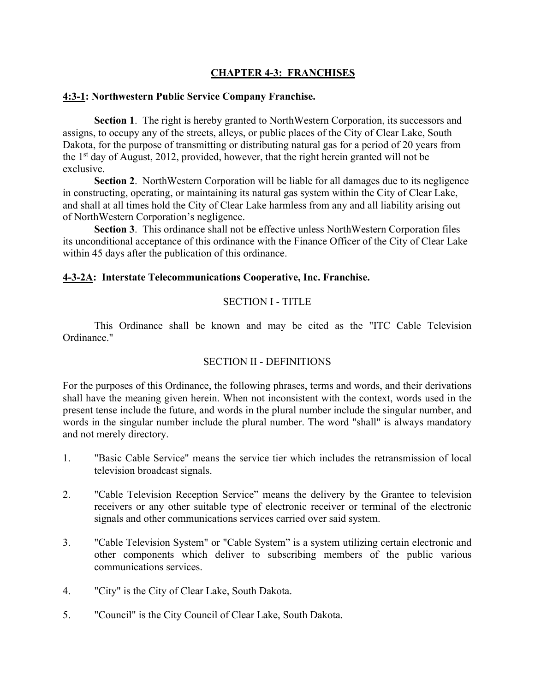# **CHAPTER 4-3: FRANCHISES**

### **4:3-1: Northwestern Public Service Company Franchise.**

**Section 1**. The right is hereby granted to NorthWestern Corporation, its successors and assigns, to occupy any of the streets, alleys, or public places of the City of Clear Lake, South Dakota, for the purpose of transmitting or distributing natural gas for a period of 20 years from the  $1<sup>st</sup>$  day of August, 2012, provided, however, that the right herein granted will not be exclusive.

**Section 2**. NorthWestern Corporation will be liable for all damages due to its negligence in constructing, operating, or maintaining its natural gas system within the City of Clear Lake, and shall at all times hold the City of Clear Lake harmless from any and all liability arising out of NorthWestern Corporation's negligence.

**Section 3**. This ordinance shall not be effective unless NorthWestern Corporation files its unconditional acceptance of this ordinance with the Finance Officer of the City of Clear Lake within 45 days after the publication of this ordinance.

### **4-3-2A: Interstate Telecommunications Cooperative, Inc. Franchise.**

### SECTION I - TITLE

This Ordinance shall be known and may be cited as the "ITC Cable Television Ordinance."

# SECTION II - DEFINITIONS

For the purposes of this Ordinance, the following phrases, terms and words, and their derivations shall have the meaning given herein. When not inconsistent with the context, words used in the present tense include the future, and words in the plural number include the singular number, and words in the singular number include the plural number. The word "shall" is always mandatory and not merely directory.

- 1. "Basic Cable Service" means the service tier which includes the retransmission of local television broadcast signals.
- 2. "Cable Television Reception Service" means the delivery by the Grantee to television receivers or any other suitable type of electronic receiver or terminal of the electronic signals and other communications services carried over said system.
- 3. "Cable Television System" or "Cable System" is a system utilizing certain electronic and other components which deliver to subscribing members of the public various communications services.
- 4. "City" is the City of Clear Lake, South Dakota.
- 5. "Council" is the City Council of Clear Lake, South Dakota.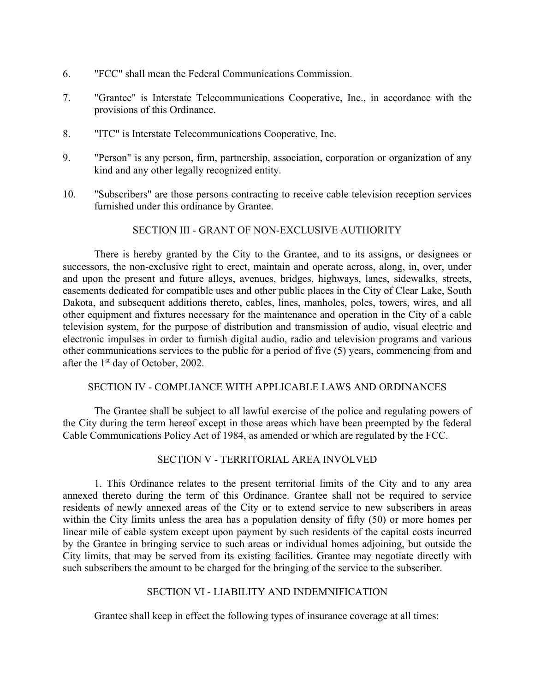- 6. "FCC" shall mean the Federal Communications Commission.
- 7. "Grantee" is Interstate Telecommunications Cooperative, Inc., in accordance with the provisions of this Ordinance.
- 8. "ITC" is Interstate Telecommunications Cooperative, Inc.
- 9. "Person" is any person, firm, partnership, association, corporation or organization of any kind and any other legally recognized entity.
- 10. "Subscribers" are those persons contracting to receive cable television reception services furnished under this ordinance by Grantee.

#### SECTION III - GRANT OF NON-EXCLUSIVE AUTHORITY

There is hereby granted by the City to the Grantee, and to its assigns, or designees or successors, the non-exclusive right to erect, maintain and operate across, along, in, over, under and upon the present and future alleys, avenues, bridges, highways, lanes, sidewalks, streets, easements dedicated for compatible uses and other public places in the City of Clear Lake, South Dakota, and subsequent additions thereto, cables, lines, manholes, poles, towers, wires, and all other equipment and fixtures necessary for the maintenance and operation in the City of a cable television system, for the purpose of distribution and transmission of audio, visual electric and electronic impulses in order to furnish digital audio, radio and television programs and various other communications services to the public for a period of five (5) years, commencing from and after the 1st day of October, 2002.

#### SECTION IV - COMPLIANCE WITH APPLICABLE LAWS AND ORDINANCES

The Grantee shall be subject to all lawful exercise of the police and regulating powers of the City during the term hereof except in those areas which have been preempted by the federal Cable Communications Policy Act of 1984, as amended or which are regulated by the FCC.

### SECTION V - TERRITORIAL AREA INVOLVED

1. This Ordinance relates to the present territorial limits of the City and to any area annexed thereto during the term of this Ordinance. Grantee shall not be required to service residents of newly annexed areas of the City or to extend service to new subscribers in areas within the City limits unless the area has a population density of fifty (50) or more homes per linear mile of cable system except upon payment by such residents of the capital costs incurred by the Grantee in bringing service to such areas or individual homes adjoining, but outside the City limits, that may be served from its existing facilities. Grantee may negotiate directly with such subscribers the amount to be charged for the bringing of the service to the subscriber.

#### SECTION VI - LIABILITY AND INDEMNIFICATION

Grantee shall keep in effect the following types of insurance coverage at all times: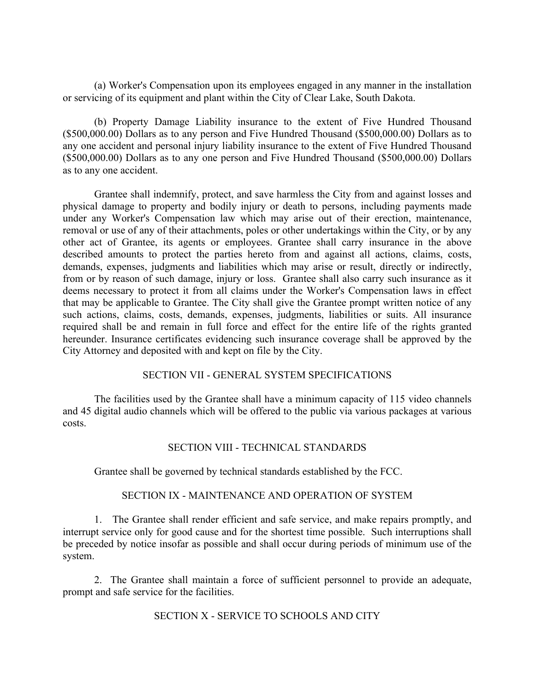(a) Worker's Compensation upon its employees engaged in any manner in the installation or servicing of its equipment and plant within the City of Clear Lake, South Dakota.

(b) Property Damage Liability insurance to the extent of Five Hundred Thousand (\$500,000.00) Dollars as to any person and Five Hundred Thousand (\$500,000.00) Dollars as to any one accident and personal injury liability insurance to the extent of Five Hundred Thousand (\$500,000.00) Dollars as to any one person and Five Hundred Thousand (\$500,000.00) Dollars as to any one accident.

Grantee shall indemnify, protect, and save harmless the City from and against losses and physical damage to property and bodily injury or death to persons, including payments made under any Worker's Compensation law which may arise out of their erection, maintenance, removal or use of any of their attachments, poles or other undertakings within the City, or by any other act of Grantee, its agents or employees. Grantee shall carry insurance in the above described amounts to protect the parties hereto from and against all actions, claims, costs, demands, expenses, judgments and liabilities which may arise or result, directly or indirectly, from or by reason of such damage, injury or loss. Grantee shall also carry such insurance as it deems necessary to protect it from all claims under the Worker's Compensation laws in effect that may be applicable to Grantee. The City shall give the Grantee prompt written notice of any such actions, claims, costs, demands, expenses, judgments, liabilities or suits. All insurance required shall be and remain in full force and effect for the entire life of the rights granted hereunder. Insurance certificates evidencing such insurance coverage shall be approved by the City Attorney and deposited with and kept on file by the City.

### SECTION VII - GENERAL SYSTEM SPECIFICATIONS

The facilities used by the Grantee shall have a minimum capacity of 115 video channels and 45 digital audio channels which will be offered to the public via various packages at various costs.

### SECTION VIII - TECHNICAL STANDARDS

Grantee shall be governed by technical standards established by the FCC.

#### SECTION IX - MAINTENANCE AND OPERATION OF SYSTEM

1. The Grantee shall render efficient and safe service, and make repairs promptly, and interrupt service only for good cause and for the shortest time possible. Such interruptions shall be preceded by notice insofar as possible and shall occur during periods of minimum use of the system.

2. The Grantee shall maintain a force of sufficient personnel to provide an adequate, prompt and safe service for the facilities.

#### SECTION X - SERVICE TO SCHOOLS AND CITY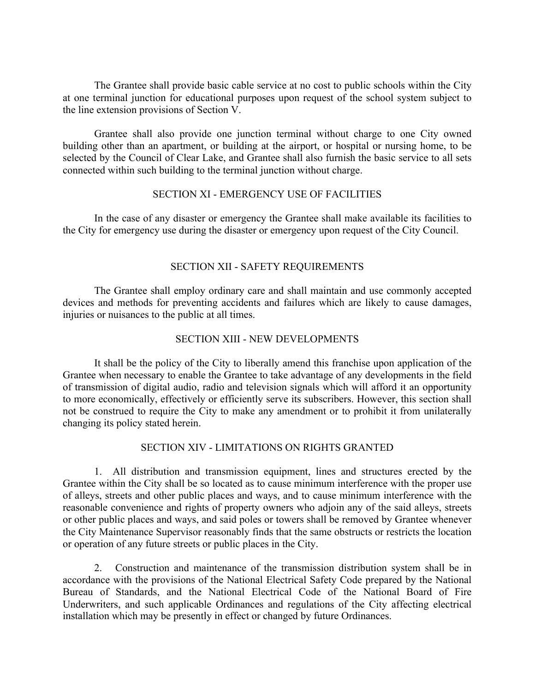The Grantee shall provide basic cable service at no cost to public schools within the City at one terminal junction for educational purposes upon request of the school system subject to the line extension provisions of Section V.

Grantee shall also provide one junction terminal without charge to one City owned building other than an apartment, or building at the airport, or hospital or nursing home, to be selected by the Council of Clear Lake, and Grantee shall also furnish the basic service to all sets connected within such building to the terminal junction without charge.

### SECTION XI - EMERGENCY USE OF FACILITIES

In the case of any disaster or emergency the Grantee shall make available its facilities to the City for emergency use during the disaster or emergency upon request of the City Council.

# SECTION XII - SAFETY REQUIREMENTS

The Grantee shall employ ordinary care and shall maintain and use commonly accepted devices and methods for preventing accidents and failures which are likely to cause damages, injuries or nuisances to the public at all times.

# SECTION XIII - NEW DEVELOPMENTS

It shall be the policy of the City to liberally amend this franchise upon application of the Grantee when necessary to enable the Grantee to take advantage of any developments in the field of transmission of digital audio, radio and television signals which will afford it an opportunity to more economically, effectively or efficiently serve its subscribers. However, this section shall not be construed to require the City to make any amendment or to prohibit it from unilaterally changing its policy stated herein.

### SECTION XIV - LIMITATIONS ON RIGHTS GRANTED

1. All distribution and transmission equipment, lines and structures erected by the Grantee within the City shall be so located as to cause minimum interference with the proper use of alleys, streets and other public places and ways, and to cause minimum interference with the reasonable convenience and rights of property owners who adjoin any of the said alleys, streets or other public places and ways, and said poles or towers shall be removed by Grantee whenever the City Maintenance Supervisor reasonably finds that the same obstructs or restricts the location or operation of any future streets or public places in the City.

2. Construction and maintenance of the transmission distribution system shall be in accordance with the provisions of the National Electrical Safety Code prepared by the National Bureau of Standards, and the National Electrical Code of the National Board of Fire Underwriters, and such applicable Ordinances and regulations of the City affecting electrical installation which may be presently in effect or changed by future Ordinances.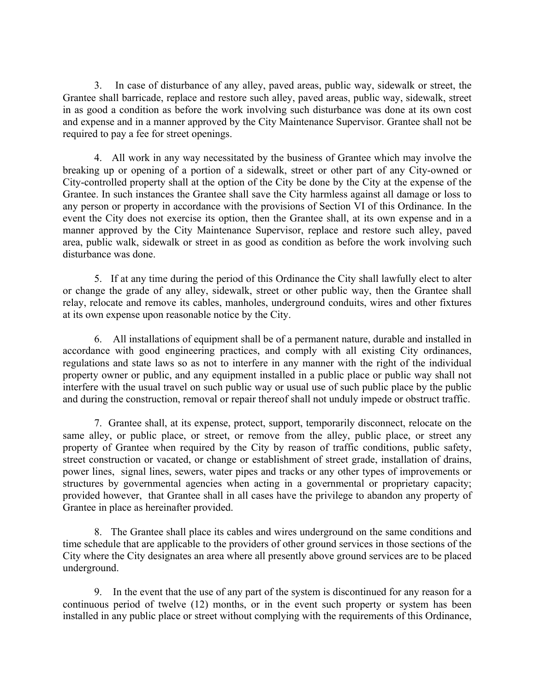3. In case of disturbance of any alley, paved areas, public way, sidewalk or street, the Grantee shall barricade, replace and restore such alley, paved areas, public way, sidewalk, street in as good a condition as before the work involving such disturbance was done at its own cost and expense and in a manner approved by the City Maintenance Supervisor. Grantee shall not be required to pay a fee for street openings.

4. All work in any way necessitated by the business of Grantee which may involve the breaking up or opening of a portion of a sidewalk, street or other part of any City-owned or City-controlled property shall at the option of the City be done by the City at the expense of the Grantee. In such instances the Grantee shall save the City harmless against all damage or loss to any person or property in accordance with the provisions of Section VI of this Ordinance. In the event the City does not exercise its option, then the Grantee shall, at its own expense and in a manner approved by the City Maintenance Supervisor, replace and restore such alley, paved area, public walk, sidewalk or street in as good as condition as before the work involving such disturbance was done.

5. If at any time during the period of this Ordinance the City shall lawfully elect to alter or change the grade of any alley, sidewalk, street or other public way, then the Grantee shall relay, relocate and remove its cables, manholes, underground conduits, wires and other fixtures at its own expense upon reasonable notice by the City.

6. All installations of equipment shall be of a permanent nature, durable and installed in accordance with good engineering practices, and comply with all existing City ordinances, regulations and state laws so as not to interfere in any manner with the right of the individual property owner or public, and any equipment installed in a public place or public way shall not interfere with the usual travel on such public way or usual use of such public place by the public and during the construction, removal or repair thereof shall not unduly impede or obstruct traffic.

7. Grantee shall, at its expense, protect, support, temporarily disconnect, relocate on the same alley, or public place, or street, or remove from the alley, public place, or street any property of Grantee when required by the City by reason of traffic conditions, public safety, street construction or vacated, or change or establishment of street grade, installation of drains, power lines, signal lines, sewers, water pipes and tracks or any other types of improvements or structures by governmental agencies when acting in a governmental or proprietary capacity; provided however, that Grantee shall in all cases have the privilege to abandon any property of Grantee in place as hereinafter provided.

8. The Grantee shall place its cables and wires underground on the same conditions and time schedule that are applicable to the providers of other ground services in those sections of the City where the City designates an area where all presently above ground services are to be placed underground.

9. In the event that the use of any part of the system is discontinued for any reason for a continuous period of twelve (12) months, or in the event such property or system has been installed in any public place or street without complying with the requirements of this Ordinance,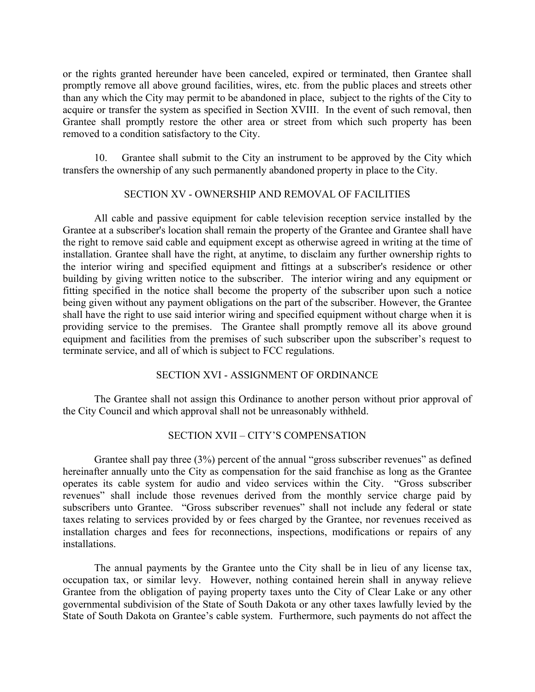or the rights granted hereunder have been canceled, expired or terminated, then Grantee shall promptly remove all above ground facilities, wires, etc. from the public places and streets other than any which the City may permit to be abandoned in place, subject to the rights of the City to acquire or transfer the system as specified in Section XVIII. In the event of such removal, then Grantee shall promptly restore the other area or street from which such property has been removed to a condition satisfactory to the City.

10. Grantee shall submit to the City an instrument to be approved by the City which transfers the ownership of any such permanently abandoned property in place to the City.

#### SECTION XV - OWNERSHIP AND REMOVAL OF FACILITIES

All cable and passive equipment for cable television reception service installed by the Grantee at a subscriber's location shall remain the property of the Grantee and Grantee shall have the right to remove said cable and equipment except as otherwise agreed in writing at the time of installation. Grantee shall have the right, at anytime, to disclaim any further ownership rights to the interior wiring and specified equipment and fittings at a subscriber's residence or other building by giving written notice to the subscriber. The interior wiring and any equipment or fitting specified in the notice shall become the property of the subscriber upon such a notice being given without any payment obligations on the part of the subscriber. However, the Grantee shall have the right to use said interior wiring and specified equipment without charge when it is providing service to the premises. The Grantee shall promptly remove all its above ground equipment and facilities from the premises of such subscriber upon the subscriber's request to terminate service, and all of which is subject to FCC regulations.

#### SECTION XVI - ASSIGNMENT OF ORDINANCE

The Grantee shall not assign this Ordinance to another person without prior approval of the City Council and which approval shall not be unreasonably withheld.

### SECTION XVII – CITY'S COMPENSATION

Grantee shall pay three (3%) percent of the annual "gross subscriber revenues" as defined hereinafter annually unto the City as compensation for the said franchise as long as the Grantee operates its cable system for audio and video services within the City. "Gross subscriber revenues" shall include those revenues derived from the monthly service charge paid by subscribers unto Grantee. "Gross subscriber revenues" shall not include any federal or state taxes relating to services provided by or fees charged by the Grantee, nor revenues received as installation charges and fees for reconnections, inspections, modifications or repairs of any installations.

The annual payments by the Grantee unto the City shall be in lieu of any license tax, occupation tax, or similar levy. However, nothing contained herein shall in anyway relieve Grantee from the obligation of paying property taxes unto the City of Clear Lake or any other governmental subdivision of the State of South Dakota or any other taxes lawfully levied by the State of South Dakota on Grantee's cable system. Furthermore, such payments do not affect the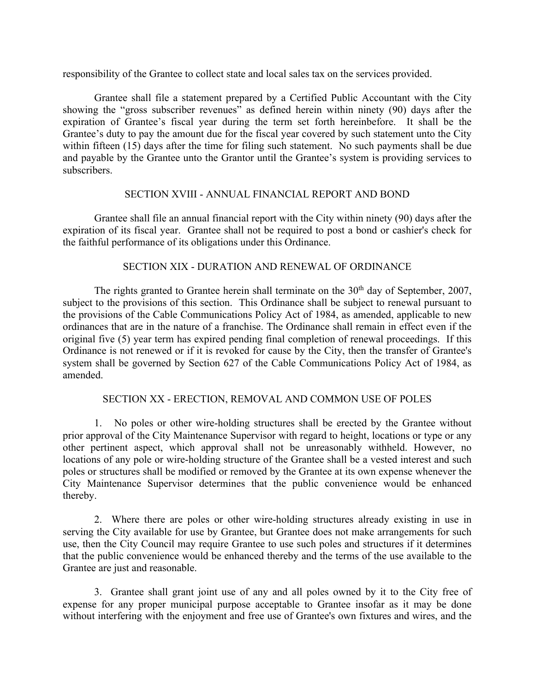responsibility of the Grantee to collect state and local sales tax on the services provided.

Grantee shall file a statement prepared by a Certified Public Accountant with the City showing the "gross subscriber revenues" as defined herein within ninety (90) days after the expiration of Grantee's fiscal year during the term set forth hereinbefore. It shall be the Grantee's duty to pay the amount due for the fiscal year covered by such statement unto the City within fifteen (15) days after the time for filing such statement. No such payments shall be due and payable by the Grantee unto the Grantor until the Grantee's system is providing services to subscribers.

#### SECTION XVIII - ANNUAL FINANCIAL REPORT AND BOND

Grantee shall file an annual financial report with the City within ninety (90) days after the expiration of its fiscal year. Grantee shall not be required to post a bond or cashier's check for the faithful performance of its obligations under this Ordinance.

### SECTION XIX - DURATION AND RENEWAL OF ORDINANCE

The rights granted to Grantee herein shall terminate on the  $30<sup>th</sup>$  day of September, 2007, subject to the provisions of this section. This Ordinance shall be subject to renewal pursuant to the provisions of the Cable Communications Policy Act of 1984, as amended, applicable to new ordinances that are in the nature of a franchise. The Ordinance shall remain in effect even if the original five (5) year term has expired pending final completion of renewal proceedings. If this Ordinance is not renewed or if it is revoked for cause by the City, then the transfer of Grantee's system shall be governed by Section 627 of the Cable Communications Policy Act of 1984, as amended.

### SECTION XX - ERECTION, REMOVAL AND COMMON USE OF POLES

1. No poles or other wire-holding structures shall be erected by the Grantee without prior approval of the City Maintenance Supervisor with regard to height, locations or type or any other pertinent aspect, which approval shall not be unreasonably withheld. However, no locations of any pole or wire-holding structure of the Grantee shall be a vested interest and such poles or structures shall be modified or removed by the Grantee at its own expense whenever the City Maintenance Supervisor determines that the public convenience would be enhanced thereby.

2. Where there are poles or other wire-holding structures already existing in use in serving the City available for use by Grantee, but Grantee does not make arrangements for such use, then the City Council may require Grantee to use such poles and structures if it determines that the public convenience would be enhanced thereby and the terms of the use available to the Grantee are just and reasonable.

3. Grantee shall grant joint use of any and all poles owned by it to the City free of expense for any proper municipal purpose acceptable to Grantee insofar as it may be done without interfering with the enjoyment and free use of Grantee's own fixtures and wires, and the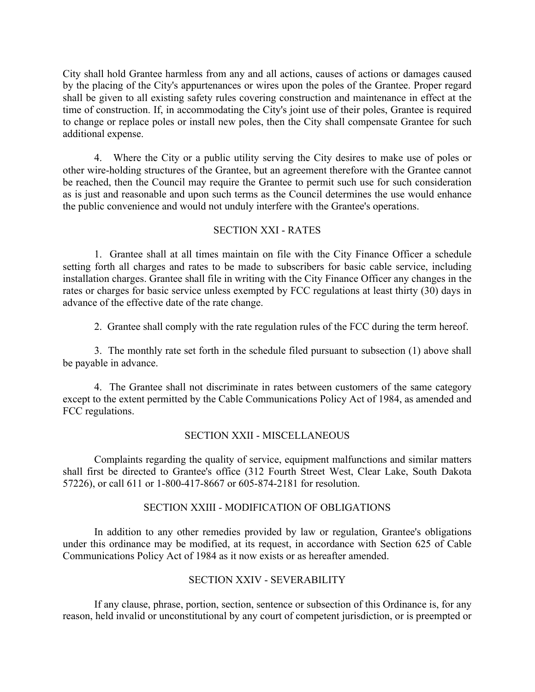City shall hold Grantee harmless from any and all actions, causes of actions or damages caused by the placing of the City's appurtenances or wires upon the poles of the Grantee. Proper regard shall be given to all existing safety rules covering construction and maintenance in effect at the time of construction. If, in accommodating the City's joint use of their poles, Grantee is required to change or replace poles or install new poles, then the City shall compensate Grantee for such additional expense.

4. Where the City or a public utility serving the City desires to make use of poles or other wire-holding structures of the Grantee, but an agreement therefore with the Grantee cannot be reached, then the Council may require the Grantee to permit such use for such consideration as is just and reasonable and upon such terms as the Council determines the use would enhance the public convenience and would not unduly interfere with the Grantee's operations.

### SECTION XXI - RATES

1. Grantee shall at all times maintain on file with the City Finance Officer a schedule setting forth all charges and rates to be made to subscribers for basic cable service, including installation charges. Grantee shall file in writing with the City Finance Officer any changes in the rates or charges for basic service unless exempted by FCC regulations at least thirty (30) days in advance of the effective date of the rate change.

2. Grantee shall comply with the rate regulation rules of the FCC during the term hereof.

3. The monthly rate set forth in the schedule filed pursuant to subsection (1) above shall be payable in advance.

4. The Grantee shall not discriminate in rates between customers of the same category except to the extent permitted by the Cable Communications Policy Act of 1984, as amended and FCC regulations.

#### SECTION XXII - MISCELLANEOUS

Complaints regarding the quality of service, equipment malfunctions and similar matters shall first be directed to Grantee's office (312 Fourth Street West, Clear Lake, South Dakota 57226), or call 611 or 1-800-417-8667 or 605-874-2181 for resolution.

#### SECTION XXIII - MODIFICATION OF OBLIGATIONS

In addition to any other remedies provided by law or regulation, Grantee's obligations under this ordinance may be modified, at its request, in accordance with Section 625 of Cable Communications Policy Act of 1984 as it now exists or as hereafter amended.

#### SECTION XXIV - SEVERABILITY

If any clause, phrase, portion, section, sentence or subsection of this Ordinance is, for any reason, held invalid or unconstitutional by any court of competent jurisdiction, or is preempted or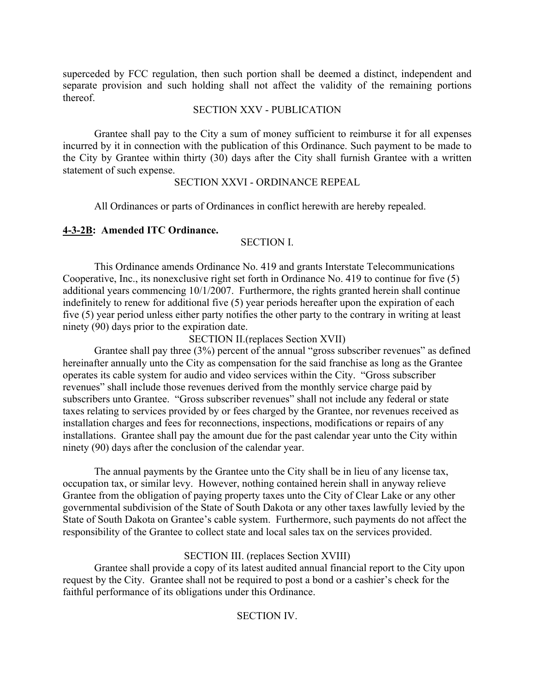superceded by FCC regulation, then such portion shall be deemed a distinct, independent and separate provision and such holding shall not affect the validity of the remaining portions thereof.

#### SECTION XXV - PUBLICATION

Grantee shall pay to the City a sum of money sufficient to reimburse it for all expenses incurred by it in connection with the publication of this Ordinance. Such payment to be made to the City by Grantee within thirty (30) days after the City shall furnish Grantee with a written statement of such expense.

#### SECTION XXVI - ORDINANCE REPEAL

All Ordinances or parts of Ordinances in conflict herewith are hereby repealed.

### **4-3-2B: Amended ITC Ordinance.**

### SECTION I.

This Ordinance amends Ordinance No. 419 and grants Interstate Telecommunications Cooperative, Inc., its nonexclusive right set forth in Ordinance No. 419 to continue for five (5) additional years commencing 10/1/2007. Furthermore, the rights granted herein shall continue indefinitely to renew for additional five (5) year periods hereafter upon the expiration of each five (5) year period unless either party notifies the other party to the contrary in writing at least ninety (90) days prior to the expiration date.

SECTION II.(replaces Section XVII)

Grantee shall pay three (3%) percent of the annual "gross subscriber revenues" as defined hereinafter annually unto the City as compensation for the said franchise as long as the Grantee operates its cable system for audio and video services within the City. "Gross subscriber revenues" shall include those revenues derived from the monthly service charge paid by subscribers unto Grantee. "Gross subscriber revenues" shall not include any federal or state taxes relating to services provided by or fees charged by the Grantee, nor revenues received as installation charges and fees for reconnections, inspections, modifications or repairs of any installations. Grantee shall pay the amount due for the past calendar year unto the City within ninety (90) days after the conclusion of the calendar year.

The annual payments by the Grantee unto the City shall be in lieu of any license tax, occupation tax, or similar levy. However, nothing contained herein shall in anyway relieve Grantee from the obligation of paying property taxes unto the City of Clear Lake or any other governmental subdivision of the State of South Dakota or any other taxes lawfully levied by the State of South Dakota on Grantee's cable system. Furthermore, such payments do not affect the responsibility of the Grantee to collect state and local sales tax on the services provided.

# SECTION III. (replaces Section XVIII)

Grantee shall provide a copy of its latest audited annual financial report to the City upon request by the City. Grantee shall not be required to post a bond or a cashier's check for the faithful performance of its obligations under this Ordinance.

### SECTION IV.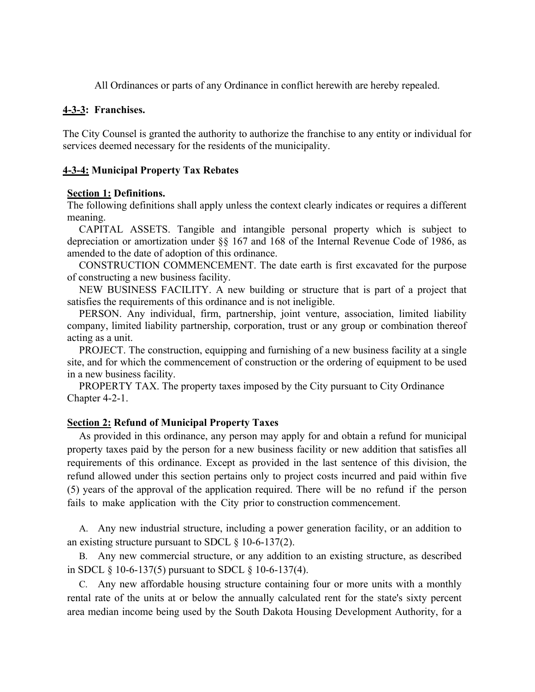All Ordinances or parts of any Ordinance in conflict herewith are hereby repealed.

#### **4-3-3: Franchises.**

The City Counsel is granted the authority to authorize the franchise to any entity or individual for services deemed necessary for the residents of the municipality.

#### **4-3-4: Municipal Property Tax Rebates**

#### **Section 1: Definitions.**

The following definitions shall apply unless the context clearly indicates or requires a different meaning.

CAPITAL ASSETS. Tangible and intangible personal property which is subject to depreciation or amortization under §§ 167 and 168 of the Internal Revenue Code of 1986, as amended to the date of adoption of this ordinance.

CONSTRUCTION COMMENCEMENT. The date earth is first excavated for the purpose of constructing a new business facility.

NEW BUSINESS FACILITY. A new building or structure that is part of a project that satisfies the requirements of this ordinance and is not ineligible.

PERSON. Any individual, firm, partnership, joint venture, association, limited liability company, limited liability partnership, corporation, trust or any group or combination thereof acting as a unit.

PROJECT. The construction, equipping and furnishing of a new business facility at a single site, and for which the commencement of construction or the ordering of equipment to be used in a new business facility.

PROPERTY TAX. The property taxes imposed by the City pursuant to City Ordinance Chapter 4-2-1.

#### **Section 2: Refund of Municipal Property Taxes**

As provided in this ordinance, any person may apply for and obtain a refund for municipal property taxes paid by the person for a new business facility or new addition that satisfies all requirements of this ordinance. Except as provided in the last sentence of this division, the refund allowed under this section pertains only to project costs incurred and paid within five (5) years of the approval of the application required. There will be no refund if the person fails to make application with the City prior to construction commencement.

A. Any new industrial structure, including a power generation facility, or an addition to an existing structure pursuant to SDCL § 10-6-137(2).

B. Any new commercial structure, or any addition to an existing structure, as described in SDCL § 10-6-137(5) pursuant to SDCL § 10-6-137(4).

C. Any new affordable housing structure containing four or more units with a monthly rental rate of the units at or below the annually calculated rent for the state's sixty percent area median income being used by the South Dakota Housing Development Authority, for a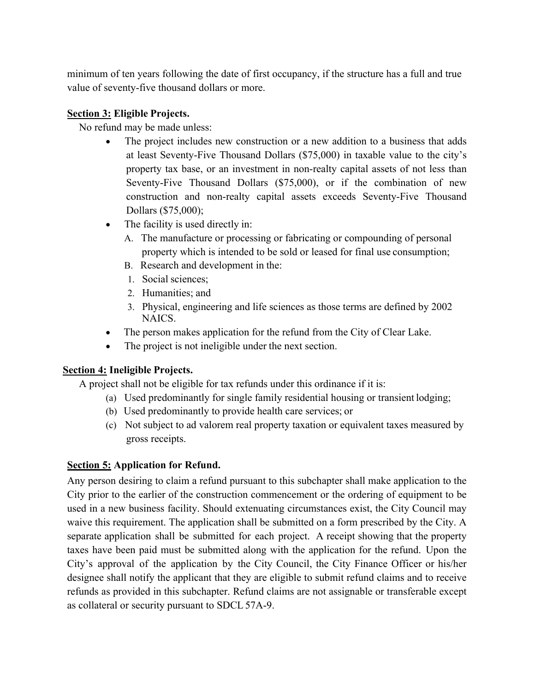minimum of ten years following the date of first occupancy, if the structure has a full and true value of seventy-five thousand dollars or more.

# **Section 3: Eligible Projects.**

No refund may be made unless:

- The project includes new construction or a new addition to a business that adds at least Seventy-Five Thousand Dollars (\$75,000) in taxable value to the city's property tax base, or an investment in non-realty capital assets of not less than Seventy-Five Thousand Dollars (\$75,000), or if the combination of new construction and non-realty capital assets exceeds Seventy-Five Thousand Dollars (\$75,000);
- The facility is used directly in:
	- A. The manufacture or processing or fabricating or compounding of personal property which is intended to be sold or leased for final use consumption;
	- B. Research and development in the:
	- 1. Social sciences;
	- 2. Humanities; and
	- 3. Physical, engineering and life sciences as those terms are defined by 2002 NAICS.
- The person makes application for the refund from the City of Clear Lake.
- The project is not ineligible under the next section.

# **Section 4: Ineligible Projects.**

A project shall not be eligible for tax refunds under this ordinance if it is:

- (a) Used predominantly for single family residential housing or transient lodging;
- (b) Used predominantly to provide health care services; or
- (c) Not subject to ad valorem real property taxation or equivalent taxes measured by gross receipts.

# **Section 5: Application for Refund.**

Any person desiring to claim a refund pursuant to this subchapter shall make application to the City prior to the earlier of the construction commencement or the ordering of equipment to be used in a new business facility. Should extenuating circumstances exist, the City Council may waive this requirement. The application shall be submitted on a form prescribed by the City. A separate application shall be submitted for each project. A receipt showing that the property taxes have been paid must be submitted along with the application for the refund. Upon the City's approval of the application by the City Council, the City Finance Officer or his/her designee shall notify the applicant that they are eligible to submit refund claims and to receive refunds as provided in this subchapter. Refund claims are not assignable or transferable except as collateral or security pursuant to SDCL57A-9.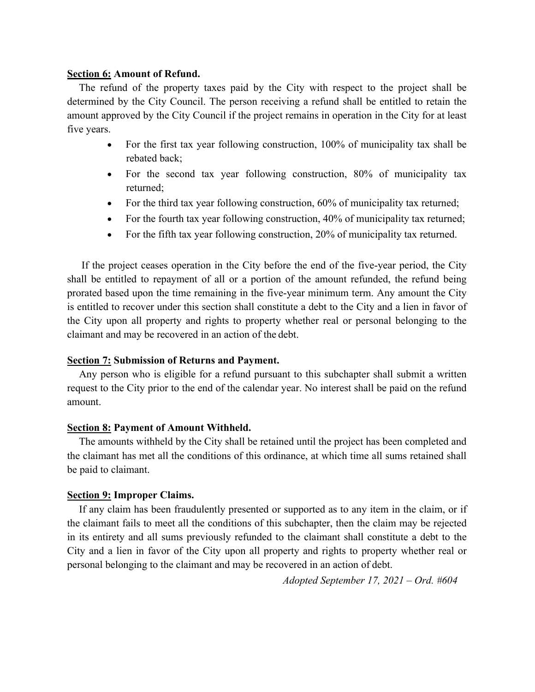#### **Section 6: Amount of Refund.**

The refund of the property taxes paid by the City with respect to the project shall be determined by the City Council. The person receiving a refund shall be entitled to retain the amount approved by the City Council if the project remains in operation in the City for at least five years.

- For the first tax year following construction, 100% of municipality tax shall be rebated back;
- For the second tax year following construction, 80% of municipality tax returned;
- For the third tax year following construction, 60% of municipality tax returned;
- For the fourth tax year following construction, 40% of municipality tax returned;
- For the fifth tax year following construction, 20% of municipality tax returned.

If the project ceases operation in the City before the end of the five-year period, the City shall be entitled to repayment of all or a portion of the amount refunded, the refund being prorated based upon the time remaining in the five-year minimum term. Any amount the City is entitled to recover under this section shall constitute a debt to the City and a lien in favor of the City upon all property and rights to property whether real or personal belonging to the claimant and may be recovered in an action of the debt.

# **Section 7: Submission of Returns and Payment.**

Any person who is eligible for a refund pursuant to this subchapter shall submit a written request to the City prior to the end of the calendar year. No interest shall be paid on the refund amount.

### **Section 8: Payment of Amount Withheld.**

The amounts withheld by the City shall be retained until the project has been completed and the claimant has met all the conditions of this ordinance, at which time all sums retained shall be paid to claimant.

### **Section 9: Improper Claims.**

If any claim has been fraudulently presented or supported as to any item in the claim, or if the claimant fails to meet all the conditions of this subchapter, then the claim may be rejected in its entirety and all sums previously refunded to the claimant shall constitute a debt to the City and a lien in favor of the City upon all property and rights to property whether real or personal belonging to the claimant and may be recovered in an action of debt.

*Adopted September 17, 2021 – Ord. #604*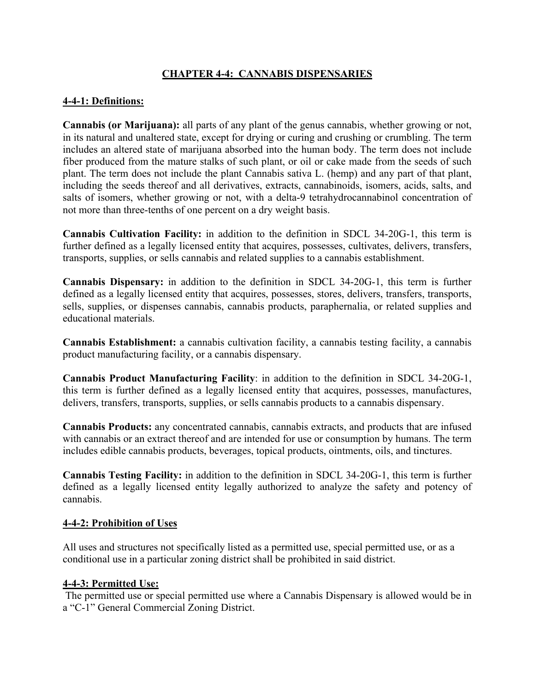# **CHAPTER 4-4: CANNABIS DISPENSARIES**

# **4-4-1: Definitions:**

**Cannabis (or Marijuana):** all parts of any plant of the genus cannabis, whether growing or not, in its natural and unaltered state, except for drying or curing and crushing or crumbling. The term includes an altered state of marijuana absorbed into the human body. The term does not include fiber produced from the mature stalks of such plant, or oil or cake made from the seeds of such plant. The term does not include the plant Cannabis sativa L. (hemp) and any part of that plant, including the seeds thereof and all derivatives, extracts, cannabinoids, isomers, acids, salts, and salts of isomers, whether growing or not, with a delta-9 tetrahydrocannabinol concentration of not more than three-tenths of one percent on a dry weight basis.

**Cannabis Cultivation Facility:** in addition to the definition in SDCL 34-20G-1, this term is further defined as a legally licensed entity that acquires, possesses, cultivates, delivers, transfers, transports, supplies, or sells cannabis and related supplies to a cannabis establishment.

**Cannabis Dispensary:** in addition to the definition in SDCL 34-20G-1, this term is further defined as a legally licensed entity that acquires, possesses, stores, delivers, transfers, transports, sells, supplies, or dispenses cannabis, cannabis products, paraphernalia, or related supplies and educational materials.

**Cannabis Establishment:** a cannabis cultivation facility, a cannabis testing facility, a cannabis product manufacturing facility, or a cannabis dispensary.

**Cannabis Product Manufacturing Facility**: in addition to the definition in SDCL 34-20G-1, this term is further defined as a legally licensed entity that acquires, possesses, manufactures, delivers, transfers, transports, supplies, or sells cannabis products to a cannabis dispensary.

**Cannabis Products:** any concentrated cannabis, cannabis extracts, and products that are infused with cannabis or an extract thereof and are intended for use or consumption by humans. The term includes edible cannabis products, beverages, topical products, ointments, oils, and tinctures.

**Cannabis Testing Facility:** in addition to the definition in SDCL 34-20G-1, this term is further defined as a legally licensed entity legally authorized to analyze the safety and potency of cannabis.

# **4-4-2: Prohibition of Uses**

All uses and structures not specifically listed as a permitted use, special permitted use, or as a conditional use in a particular zoning district shall be prohibited in said district.

# **4-4-3: Permitted Use:**

The permitted use or special permitted use where a Cannabis Dispensary is allowed would be in a "C-1" General Commercial Zoning District.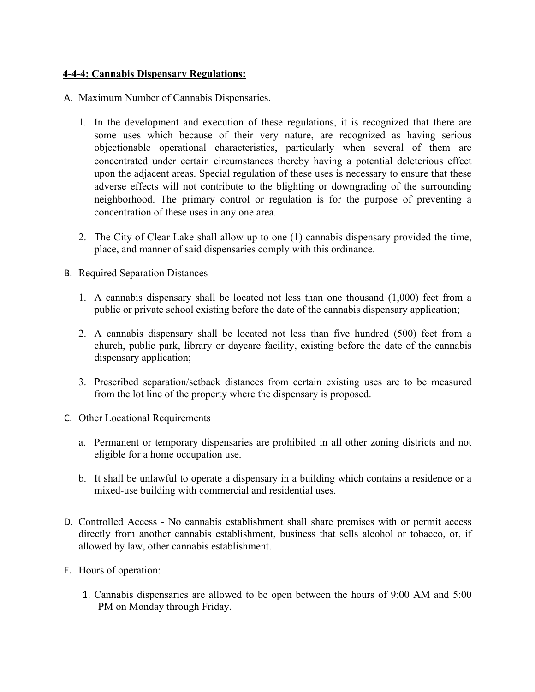### **4-4-4: Cannabis Dispensary Regulations:**

- A. Maximum Number of Cannabis Dispensaries.
	- 1. In the development and execution of these regulations, it is recognized that there are some uses which because of their very nature, are recognized as having serious objectionable operational characteristics, particularly when several of them are concentrated under certain circumstances thereby having a potential deleterious effect upon the adjacent areas. Special regulation of these uses is necessary to ensure that these adverse effects will not contribute to the blighting or downgrading of the surrounding neighborhood. The primary control or regulation is for the purpose of preventing a concentration of these uses in any one area.
	- 2. The City of Clear Lake shall allow up to one (1) cannabis dispensary provided the time, place, and manner of said dispensaries comply with this ordinance.
- B. Required Separation Distances
	- 1. A cannabis dispensary shall be located not less than one thousand (1,000) feet from a public or private school existing before the date of the cannabis dispensary application;
	- 2. A cannabis dispensary shall be located not less than five hundred (500) feet from a church, public park, library or daycare facility, existing before the date of the cannabis dispensary application;
	- 3. Prescribed separation/setback distances from certain existing uses are to be measured from the lot line of the property where the dispensary is proposed.
- C. Other Locational Requirements
	- a. Permanent or temporary dispensaries are prohibited in all other zoning districts and not eligible for a home occupation use.
	- b. It shall be unlawful to operate a dispensary in a building which contains a residence or a mixed-use building with commercial and residential uses.
- D. Controlled Access No cannabis establishment shall share premises with or permit access directly from another cannabis establishment, business that sells alcohol or tobacco, or, if allowed by law, other cannabis establishment.
- E. Hours of operation:
	- 1. Cannabis dispensaries are allowed to be open between the hours of 9:00 AM and 5:00 PM on Monday through Friday.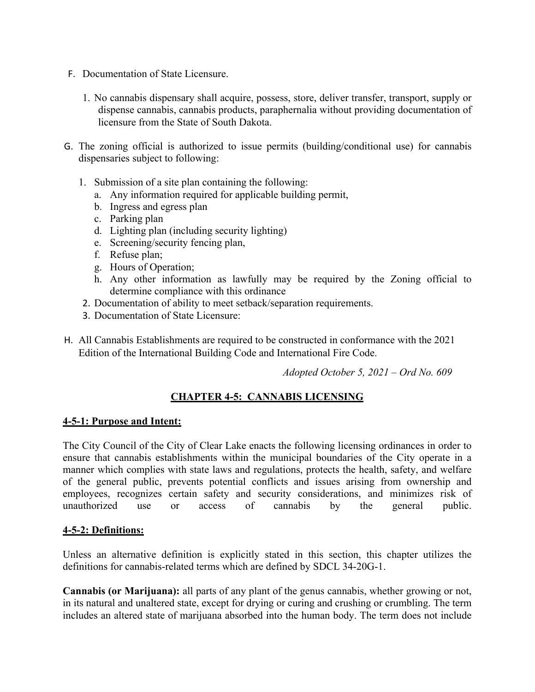- F. Documentation of State Licensure.
	- 1. No cannabis dispensary shall acquire, possess, store, deliver transfer, transport, supply or dispense cannabis, cannabis products, paraphernalia without providing documentation of licensure from the State of South Dakota.
- G. The zoning official is authorized to issue permits (building/conditional use) for cannabis dispensaries subject to following:
	- 1. Submission of a site plan containing the following:
		- a. Any information required for applicable building permit,
		- b. Ingress and egress plan
		- c. Parking plan
		- d. Lighting plan (including security lighting)
		- e. Screening/security fencing plan,
		- f. Refuse plan;
		- g. Hours of Operation;
		- h. Any other information as lawfully may be required by the Zoning official to determine compliance with this ordinance
	- 2. Documentation of ability to meet setback/separation requirements.
	- 3. Documentation of State Licensure:
- H. All Cannabis Establishments are required to be constructed in conformance with the 2021 Edition of the International Building Code and International Fire Code.

*Adopted October 5, 2021 – Ord No. 609*

# **CHAPTER 4-5: CANNABIS LICENSING**

### **4-5-1: Purpose and Intent:**

The City Council of the City of Clear Lake enacts the following licensing ordinances in order to ensure that cannabis establishments within the municipal boundaries of the City operate in a manner which complies with state laws and regulations, protects the health, safety, and welfare of the general public, prevents potential conflicts and issues arising from ownership and employees, recognizes certain safety and security considerations, and minimizes risk of unauthorized use or access of cannabis by the general public.

### **4-5-2: Definitions:**

Unless an alternative definition is explicitly stated in this section, this chapter utilizes the definitions for cannabis-related terms which are defined by SDCL 34-20G-1.

**Cannabis (or Marijuana):** all parts of any plant of the genus cannabis, whether growing or not, in its natural and unaltered state, except for drying or curing and crushing or crumbling. The term includes an altered state of marijuana absorbed into the human body. The term does not include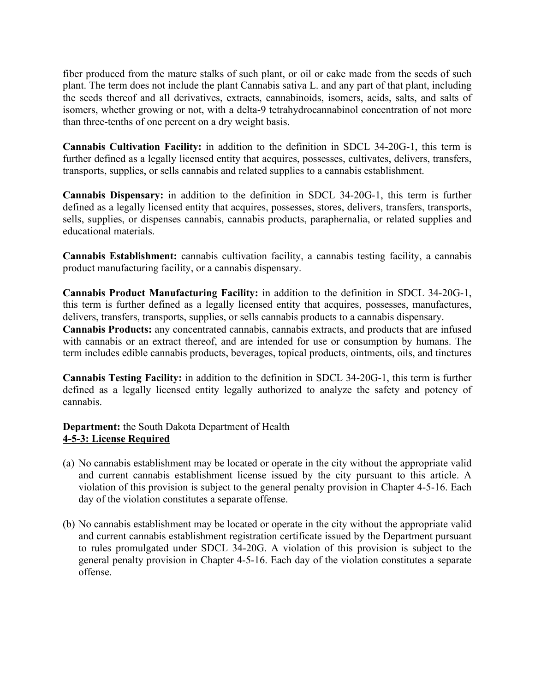fiber produced from the mature stalks of such plant, or oil or cake made from the seeds of such plant. The term does not include the plant Cannabis sativa L. and any part of that plant, including the seeds thereof and all derivatives, extracts, cannabinoids, isomers, acids, salts, and salts of isomers, whether growing or not, with a delta-9 tetrahydrocannabinol concentration of not more than three-tenths of one percent on a dry weight basis.

**Cannabis Cultivation Facility:** in addition to the definition in SDCL 34-20G-1, this term is further defined as a legally licensed entity that acquires, possesses, cultivates, delivers, transfers, transports, supplies, or sells cannabis and related supplies to a cannabis establishment.

**Cannabis Dispensary:** in addition to the definition in SDCL 34-20G-1, this term is further defined as a legally licensed entity that acquires, possesses, stores, delivers, transfers, transports, sells, supplies, or dispenses cannabis, cannabis products, paraphernalia, or related supplies and educational materials.

**Cannabis Establishment:** cannabis cultivation facility, a cannabis testing facility, a cannabis product manufacturing facility, or a cannabis dispensary.

**Cannabis Product Manufacturing Facility:** in addition to the definition in SDCL 34-20G-1, this term is further defined as a legally licensed entity that acquires, possesses, manufactures, delivers, transfers, transports, supplies, or sells cannabis products to a cannabis dispensary.

**Cannabis Products:** any concentrated cannabis, cannabis extracts, and products that are infused with cannabis or an extract thereof, and are intended for use or consumption by humans. The term includes edible cannabis products, beverages, topical products, ointments, oils, and tinctures

**Cannabis Testing Facility:** in addition to the definition in SDCL 34-20G-1, this term is further defined as a legally licensed entity legally authorized to analyze the safety and potency of cannabis.

# **Department:** the South Dakota Department of Health **4-5-3: License Required**

- (a) No cannabis establishment may be located or operate in the city without the appropriate valid and current cannabis establishment license issued by the city pursuant to this article. A violation of this provision is subject to the general penalty provision in Chapter 4-5-16. Each day of the violation constitutes a separate offense.
- (b) No cannabis establishment may be located or operate in the city without the appropriate valid and current cannabis establishment registration certificate issued by the Department pursuant to rules promulgated under SDCL 34-20G. A violation of this provision is subject to the general penalty provision in Chapter 4-5-16. Each day of the violation constitutes a separate offense.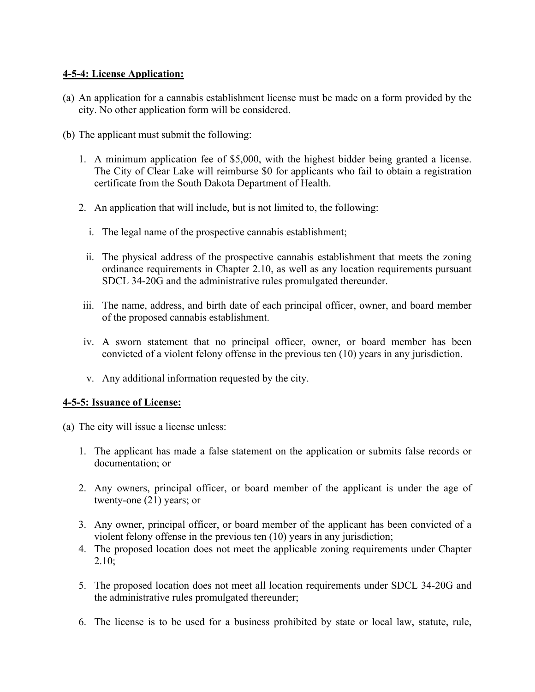# **4-5-4: License Application:**

- (a) An application for a cannabis establishment license must be made on a form provided by the city. No other application form will be considered.
- (b) The applicant must submit the following:
	- 1. A minimum application fee of \$5,000, with the highest bidder being granted a license. The City of Clear Lake will reimburse \$0 for applicants who fail to obtain a registration certificate from the South Dakota Department of Health.
	- 2. An application that will include, but is not limited to, the following:
		- i. The legal name of the prospective cannabis establishment;
		- ii. The physical address of the prospective cannabis establishment that meets the zoning ordinance requirements in Chapter 2.10, as well as any location requirements pursuant SDCL 34-20G and the administrative rules promulgated thereunder.
	- iii. The name, address, and birth date of each principal officer, owner, and board member of the proposed cannabis establishment.
	- iv. A sworn statement that no principal officer, owner, or board member has been convicted of a violent felony offense in the previous ten (10) years in any jurisdiction.
	- v. Any additional information requested by the city.

### **4-5-5: Issuance of License:**

- (a) The city will issue a license unless:
	- 1. The applicant has made a false statement on the application or submits false records or documentation; or
	- 2. Any owners, principal officer, or board member of the applicant is under the age of twenty-one (21) years; or
	- 3. Any owner, principal officer, or board member of the applicant has been convicted of a violent felony offense in the previous ten (10) years in any jurisdiction;
	- 4. The proposed location does not meet the applicable zoning requirements under Chapter 2.10;
	- 5. The proposed location does not meet all location requirements under SDCL 34-20G and the administrative rules promulgated thereunder;
	- 6. The license is to be used for a business prohibited by state or local law, statute, rule,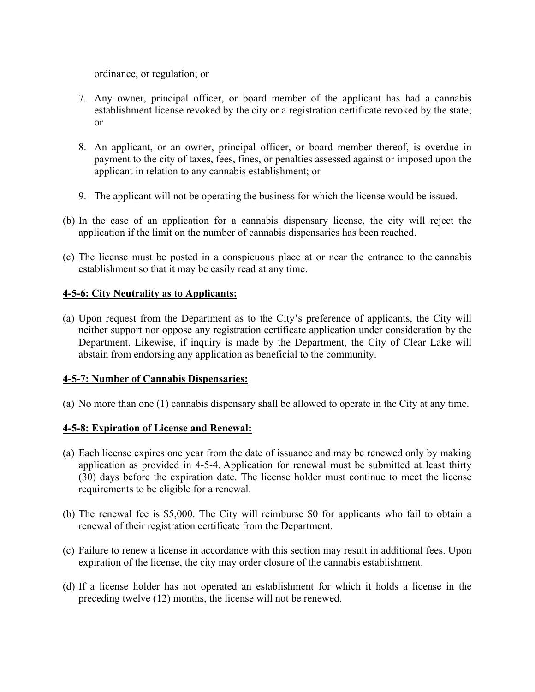ordinance, or regulation; or

- 7. Any owner, principal officer, or board member of the applicant has had a cannabis establishment license revoked by the city or a registration certificate revoked by the state; or
- 8. An applicant, or an owner, principal officer, or board member thereof, is overdue in payment to the city of taxes, fees, fines, or penalties assessed against or imposed upon the applicant in relation to any cannabis establishment; or
- 9. The applicant will not be operating the business for which the license would be issued.
- (b) In the case of an application for a cannabis dispensary license, the city will reject the application if the limit on the number of cannabis dispensaries has been reached.
- (c) The license must be posted in a conspicuous place at or near the entrance to the cannabis establishment so that it may be easily read at any time.

### **4-5-6: City Neutrality as to Applicants:**

(a) Upon request from the Department as to the City's preference of applicants, the City will neither support nor oppose any registration certificate application under consideration by the Department. Likewise, if inquiry is made by the Department, the City of Clear Lake will abstain from endorsing any application as beneficial to the community.

### **4-5-7: Number of Cannabis Dispensaries:**

(a) No more than one (1) cannabis dispensary shall be allowed to operate in the City at any time.

# **4-5-8: Expiration of License and Renewal:**

- (a) Each license expires one year from the date of issuance and may be renewed only by making application as provided in 4-5-4. Application for renewal must be submitted at least thirty (30) days before the expiration date. The license holder must continue to meet the license requirements to be eligible for a renewal.
- (b) The renewal fee is \$5,000. The City will reimburse \$0 for applicants who fail to obtain a renewal of their registration certificate from the Department.
- (c) Failure to renew a license in accordance with this section may result in additional fees. Upon expiration of the license, the city may order closure of the cannabis establishment.
- (d) If a license holder has not operated an establishment for which it holds a license in the preceding twelve (12) months, the license will not be renewed.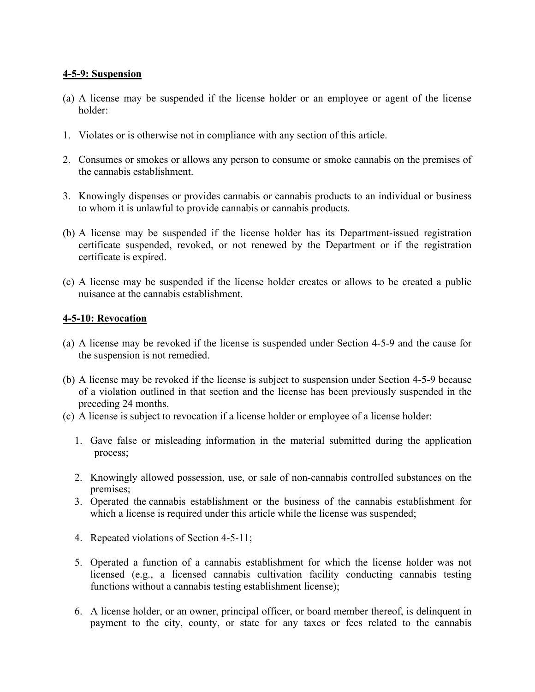### **4-5-9: Suspension**

- (a) A license may be suspended if the license holder or an employee or agent of the license holder:
- 1. Violates or is otherwise not in compliance with any section of this article.
- 2. Consumes or smokes or allows any person to consume or smoke cannabis on the premises of the cannabis establishment.
- 3. Knowingly dispenses or provides cannabis or cannabis products to an individual or business to whom it is unlawful to provide cannabis or cannabis products.
- (b) A license may be suspended if the license holder has its Department-issued registration certificate suspended, revoked, or not renewed by the Department or if the registration certificate is expired.
- (c) A license may be suspended if the license holder creates or allows to be created a public nuisance at the cannabis establishment.

### **4-5-10: Revocation**

- (a) A license may be revoked if the license is suspended under Section 4-5-9 and the cause for the suspension is not remedied.
- (b) A license may be revoked if the license is subject to suspension under Section 4-5-9 because of a violation outlined in that section and the license has been previously suspended in the preceding 24 months.
- (c) A license is subject to revocation if a license holder or employee of a license holder:
	- 1. Gave false or misleading information in the material submitted during the application process;
	- 2. Knowingly allowed possession, use, or sale of non-cannabis controlled substances on the premises;
	- 3. Operated the cannabis establishment or the business of the cannabis establishment for which a license is required under this article while the license was suspended;
	- 4. Repeated violations of Section 4-5-11;
	- 5. Operated a function of a cannabis establishment for which the license holder was not licensed (e.g., a licensed cannabis cultivation facility conducting cannabis testing functions without a cannabis testing establishment license);
	- 6. A license holder, or an owner, principal officer, or board member thereof, is delinquent in payment to the city, county, or state for any taxes or fees related to the cannabis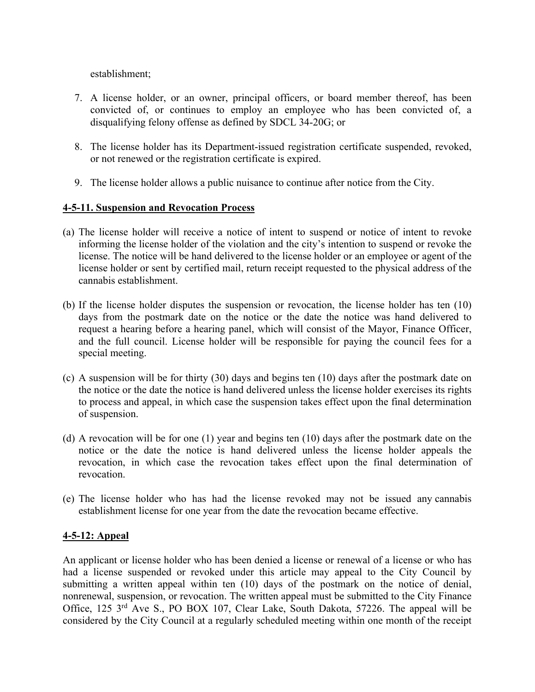establishment;

- 7. A license holder, or an owner, principal officers, or board member thereof, has been convicted of, or continues to employ an employee who has been convicted of, a disqualifying felony offense as defined by SDCL 34-20G; or
- 8. The license holder has its Department-issued registration certificate suspended, revoked, or not renewed or the registration certificate is expired.
- 9. The license holder allows a public nuisance to continue after notice from the City.

### **4-5-11. Suspension and Revocation Process**

- (a) The license holder will receive a notice of intent to suspend or notice of intent to revoke informing the license holder of the violation and the city's intention to suspend or revoke the license. The notice will be hand delivered to the license holder or an employee or agent of the license holder or sent by certified mail, return receipt requested to the physical address of the cannabis establishment.
- (b) If the license holder disputes the suspension or revocation, the license holder has ten (10) days from the postmark date on the notice or the date the notice was hand delivered to request a hearing before a hearing panel, which will consist of the Mayor, Finance Officer, and the full council. License holder will be responsible for paying the council fees for a special meeting.
- (c) A suspension will be for thirty (30) days and begins ten (10) days after the postmark date on the notice or the date the notice is hand delivered unless the license holder exercises its rights to process and appeal, in which case the suspension takes effect upon the final determination of suspension.
- (d) A revocation will be for one (1) year and begins ten (10) days after the postmark date on the notice or the date the notice is hand delivered unless the license holder appeals the revocation, in which case the revocation takes effect upon the final determination of revocation.
- (e) The license holder who has had the license revoked may not be issued any cannabis establishment license for one year from the date the revocation became effective.

# **4-5-12: Appeal**

An applicant or license holder who has been denied a license or renewal of a license or who has had a license suspended or revoked under this article may appeal to the City Council by submitting a written appeal within ten (10) days of the postmark on the notice of denial, nonrenewal, suspension, or revocation. The written appeal must be submitted to the City Finance Office, 125 3<sup>rd</sup> Ave S., PO BOX 107, Clear Lake, South Dakota, 57226. The appeal will be considered by the City Council at a regularly scheduled meeting within one month of the receipt